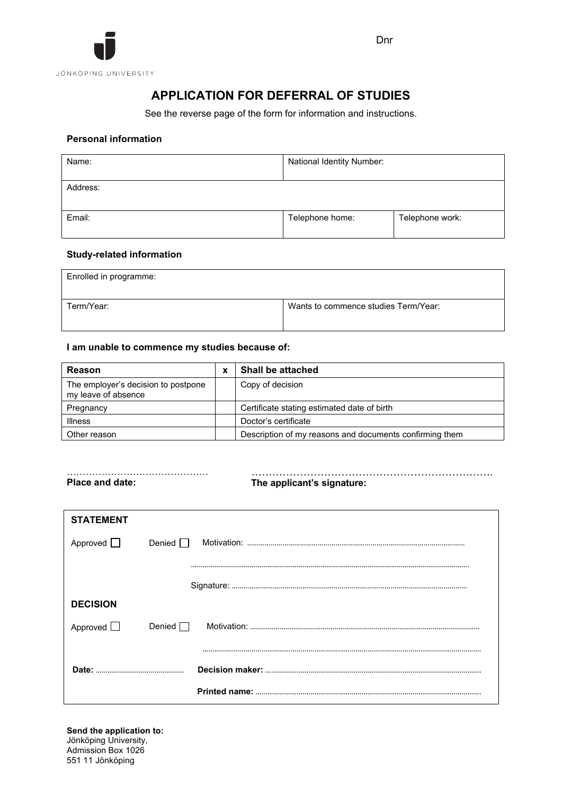

# **APPLICATION FOR DEFERRAL OF STUDIES**

See the reverse page of the form for information and instructions.

# **Personal information**

| Name:    | National Identity Number: |                 |  |  |  |  |
|----------|---------------------------|-----------------|--|--|--|--|
| Address: |                           |                 |  |  |  |  |
| Email:   | Telephone home:           | Telephone work: |  |  |  |  |

### **Study-related information**

| Enrolled in programme: |                                      |
|------------------------|--------------------------------------|
| Term/Year:             | Wants to commence studies Term/Year: |

# **I am unable to commence my studies because of:**

| <b>Reason</b>                                              | Shall be attached                                       |
|------------------------------------------------------------|---------------------------------------------------------|
| The employer's decision to postpone<br>my leave of absence | Copy of decision                                        |
| Pregnancy                                                  | Certificate stating estimated date of birth             |
| <b>Illness</b>                                             | Doctor's certificate                                    |
| Other reason                                               | Description of my reasons and documents confirming them |

……………………………………… ……………………………………………………………. The applicant's signature:

| <b>STATEMENT</b> |               |
|------------------|---------------|
| Approved $\Box$  | Denied $\Box$ |
|                  |               |
|                  |               |
| <b>DECISION</b>  |               |
| Approved $\Box$  | Denied $\Box$ |
|                  |               |
|                  |               |
|                  |               |